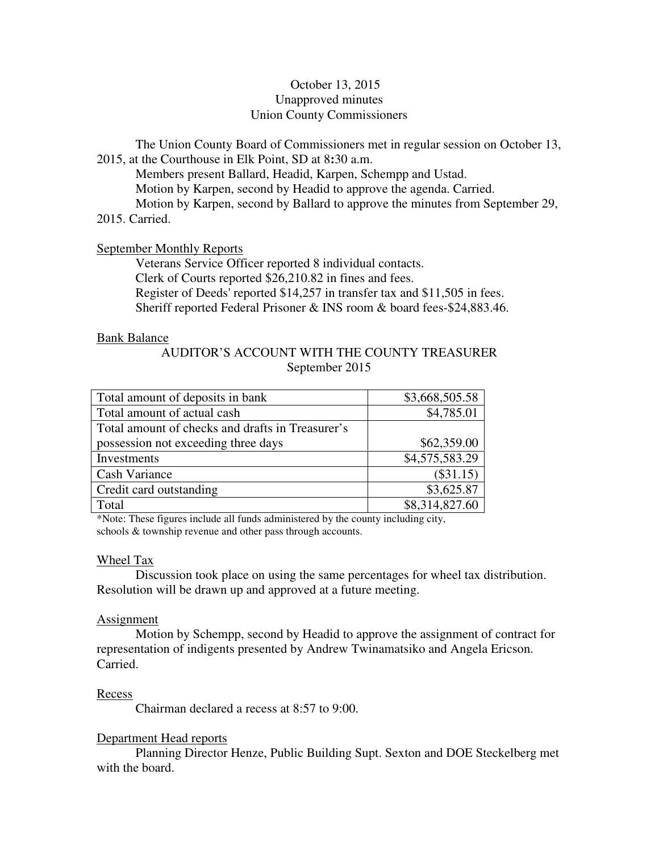# October 13, 2015 Unapproved minutes Union County Commissioners

The Union County Board of Commissioners met in regular session on October 13, 2015, at the Courthouse in Elk Point, SD at 8**:**30 a.m.

 Members present Ballard, Headid, Karpen, Schempp and Ustad. Motion by Karpen, second by Headid to approve the agenda. Carried. Motion by Karpen, second by Ballard to approve the minutes from September 29, 2015. Carried.

# September Monthly Reports

 Veterans Service Officer reported 8 individual contacts. Clerk of Courts reported \$26,210.82 in fines and fees. Register of Deeds' reported \$14,257 in transfer tax and \$11,505 in fees. Sheriff reported Federal Prisoner & INS room & board fees-\$24,883.46.

# Bank Balance

# AUDITOR'S ACCOUNT WITH THE COUNTY TREASURER September 2015

| Total amount of deposits in bank                 | \$3,668,505.58 |
|--------------------------------------------------|----------------|
| Total amount of actual cash                      | \$4,785.01     |
| Total amount of checks and drafts in Treasurer's |                |
| possession not exceeding three days              | \$62,359.00    |
| Investments                                      | \$4,575,583.29 |
| Cash Variance                                    | (\$31.15)      |
| Credit card outstanding                          | \$3,625.87     |
| Total                                            | \$8,314,827.60 |

\*Note: These figures include all funds administered by the county including city, schools & township revenue and other pass through accounts.

# Wheel Tax

 Discussion took place on using the same percentages for wheel tax distribution. Resolution will be drawn up and approved at a future meeting.

# **Assignment**

 Motion by Schempp, second by Headid to approve the assignment of contract for representation of indigents presented by Andrew Twinamatsiko and Angela Ericson. Carried.

# Recess

Chairman declared a recess at 8:57 to 9:00.

# Department Head reports

 Planning Director Henze, Public Building Supt. Sexton and DOE Steckelberg met with the board.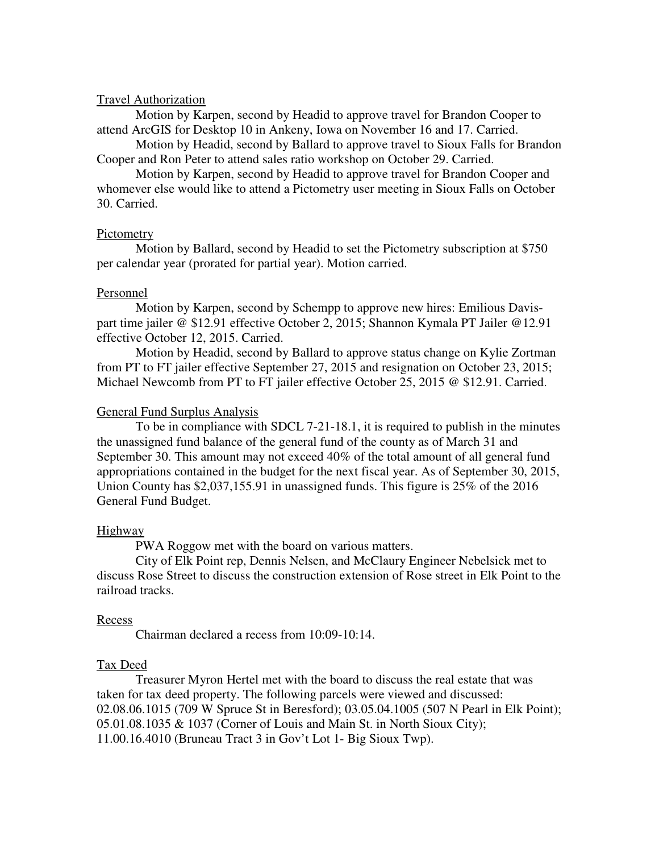## Travel Authorization

Motion by Karpen, second by Headid to approve travel for Brandon Cooper to attend ArcGIS for Desktop 10 in Ankeny, Iowa on November 16 and 17. Carried.

Motion by Headid, second by Ballard to approve travel to Sioux Falls for Brandon Cooper and Ron Peter to attend sales ratio workshop on October 29. Carried.

Motion by Karpen, second by Headid to approve travel for Brandon Cooper and whomever else would like to attend a Pictometry user meeting in Sioux Falls on October 30. Carried.

## Pictometry

Motion by Ballard, second by Headid to set the Pictometry subscription at \$750 per calendar year (prorated for partial year). Motion carried.

## Personnel

 Motion by Karpen, second by Schempp to approve new hires: Emilious Davispart time jailer @ \$12.91 effective October 2, 2015; Shannon Kymala PT Jailer @12.91 effective October 12, 2015. Carried.

 Motion by Headid, second by Ballard to approve status change on Kylie Zortman from PT to FT jailer effective September 27, 2015 and resignation on October 23, 2015; Michael Newcomb from PT to FT jailer effective October 25, 2015 @ \$12.91. Carried.

## General Fund Surplus Analysis

 To be in compliance with SDCL 7-21-18.1, it is required to publish in the minutes the unassigned fund balance of the general fund of the county as of March 31 and September 30. This amount may not exceed 40% of the total amount of all general fund appropriations contained in the budget for the next fiscal year. As of September 30, 2015, Union County has \$2,037,155.91 in unassigned funds. This figure is 25% of the 2016 General Fund Budget.

#### Highway

PWA Roggow met with the board on various matters.

 City of Elk Point rep, Dennis Nelsen, and McClaury Engineer Nebelsick met to discuss Rose Street to discuss the construction extension of Rose street in Elk Point to the railroad tracks.

#### Recess

Chairman declared a recess from 10:09-10:14.

#### Tax Deed

 Treasurer Myron Hertel met with the board to discuss the real estate that was taken for tax deed property. The following parcels were viewed and discussed: 02.08.06.1015 (709 W Spruce St in Beresford); 03.05.04.1005 (507 N Pearl in Elk Point); 05.01.08.1035 & 1037 (Corner of Louis and Main St. in North Sioux City); 11.00.16.4010 (Bruneau Tract 3 in Gov't Lot 1- Big Sioux Twp).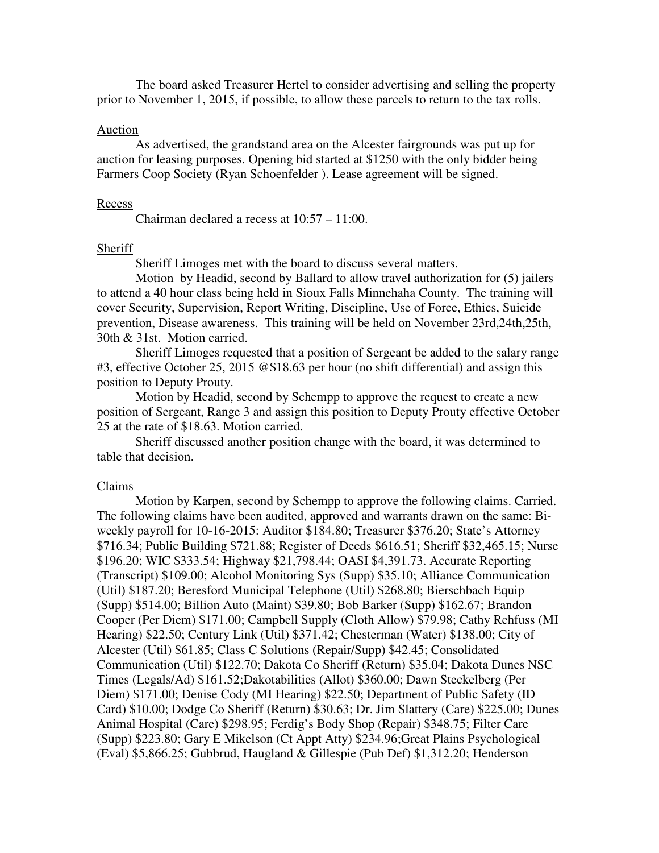The board asked Treasurer Hertel to consider advertising and selling the property prior to November 1, 2015, if possible, to allow these parcels to return to the tax rolls.

## Auction

 As advertised, the grandstand area on the Alcester fairgrounds was put up for auction for leasing purposes. Opening bid started at \$1250 with the only bidder being Farmers Coop Society (Ryan Schoenfelder ). Lease agreement will be signed.

#### Recess

Chairman declared a recess at 10:57 – 11:00.

# Sheriff

Sheriff Limoges met with the board to discuss several matters.

 Motion by Headid, second by Ballard to allow travel authorization for (5) jailers to attend a 40 hour class being held in Sioux Falls Minnehaha County. The training will cover Security, Supervision, Report Writing, Discipline, Use of Force, Ethics, Suicide prevention, Disease awareness. This training will be held on November 23rd,24th,25th, 30th & 31st. Motion carried.

Sheriff Limoges requested that a position of Sergeant be added to the salary range #3, effective October 25, 2015 @\$18.63 per hour (no shift differential) and assign this position to Deputy Prouty.

Motion by Headid, second by Schempp to approve the request to create a new position of Sergeant, Range 3 and assign this position to Deputy Prouty effective October 25 at the rate of \$18.63. Motion carried.

Sheriff discussed another position change with the board, it was determined to table that decision.

## Claims

 Motion by Karpen, second by Schempp to approve the following claims. Carried. The following claims have been audited, approved and warrants drawn on the same: Biweekly payroll for 10-16-2015: Auditor \$184.80; Treasurer \$376.20; State's Attorney \$716.34; Public Building \$721.88; Register of Deeds \$616.51; Sheriff \$32,465.15; Nurse \$196.20; WIC \$333.54; Highway \$21,798.44; OASI \$4,391.73. Accurate Reporting (Transcript) \$109.00; Alcohol Monitoring Sys (Supp) \$35.10; Alliance Communication (Util) \$187.20; Beresford Municipal Telephone (Util) \$268.80; Bierschbach Equip (Supp) \$514.00; Billion Auto (Maint) \$39.80; Bob Barker (Supp) \$162.67; Brandon Cooper (Per Diem) \$171.00; Campbell Supply (Cloth Allow) \$79.98; Cathy Rehfuss (MI Hearing) \$22.50; Century Link (Util) \$371.42; Chesterman (Water) \$138.00; City of Alcester (Util) \$61.85; Class C Solutions (Repair/Supp) \$42.45; Consolidated Communication (Util) \$122.70; Dakota Co Sheriff (Return) \$35.04; Dakota Dunes NSC Times (Legals/Ad) \$161.52;Dakotabilities (Allot) \$360.00; Dawn Steckelberg (Per Diem) \$171.00; Denise Cody (MI Hearing) \$22.50; Department of Public Safety (ID Card) \$10.00; Dodge Co Sheriff (Return) \$30.63; Dr. Jim Slattery (Care) \$225.00; Dunes Animal Hospital (Care) \$298.95; Ferdig's Body Shop (Repair) \$348.75; Filter Care (Supp) \$223.80; Gary E Mikelson (Ct Appt Atty) \$234.96;Great Plains Psychological (Eval) \$5,866.25; Gubbrud, Haugland & Gillespie (Pub Def) \$1,312.20; Henderson